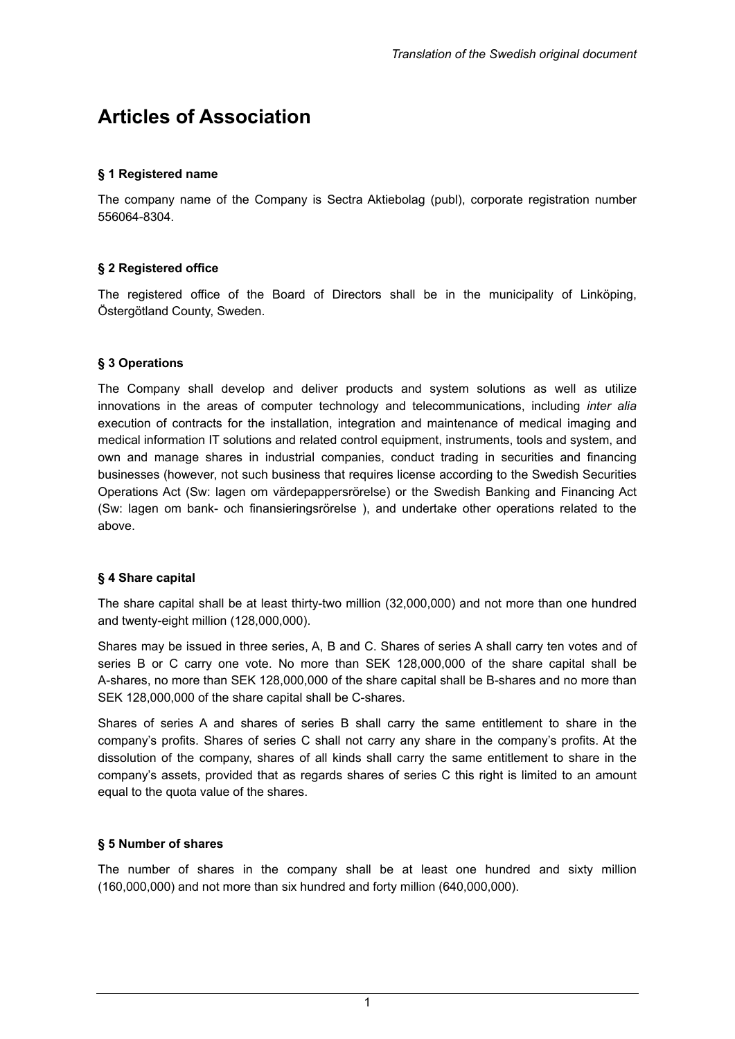# **Articles of Association**

### **§ 1 Registered name**

The company name of the Company is Sectra Aktiebolag (publ), corporate registration number 556064-8304.

### **§ 2 Registered office**

The registered office of the Board of Directors shall be in the municipality of Linköping, Östergötland County, Sweden.

#### **§ 3 Operations**

The Company shall develop and deliver products and system solutions as well as utilize innovations in the areas of computer technology and telecommunications, including *inter alia*  execution of contracts for the installation, integration and maintenance of medical imaging and medical information IT solutions and related control equipment, instruments, tools and system, and own and manage shares in industrial companies, conduct trading in securities and financing businesses (however, not such business that requires license according to the Swedish Securities Operations Act (Sw: lagen om värdepappersrörelse) or the Swedish Banking and Financing Act (Sw: lagen om bank- och finansieringsrörelse ), and undertake other operations related to the above.

#### **§ 4 Share capital**

The share capital shall be at least thirty-two million (32,000,000) and not more than one hundred and twenty-eight million (128,000,000).

Shares may be issued in three series, A, B and C. Shares of series A shall carry ten votes and of series B or C carry one vote. No more than SEK 128,000,000 of the share capital shall be A-shares, no more than SEK 128,000,000 of the share capital shall be B-shares and no more than SEK 128,000,000 of the share capital shall be C-shares.

Shares of series A and shares of series B shall carry the same entitlement to share in the company's profits. Shares of series C shall not carry any share in the company's profits. At the dissolution of the company, shares of all kinds shall carry the same entitlement to share in the company's assets, provided that as regards shares of series C this right is limited to an amount equal to the quota value of the shares.

### **§ 5 Number of shares**

The number of shares in the company shall be at least one hundred and sixty million (160,000,000) and not more than six hundred and forty million (640,000,000).

1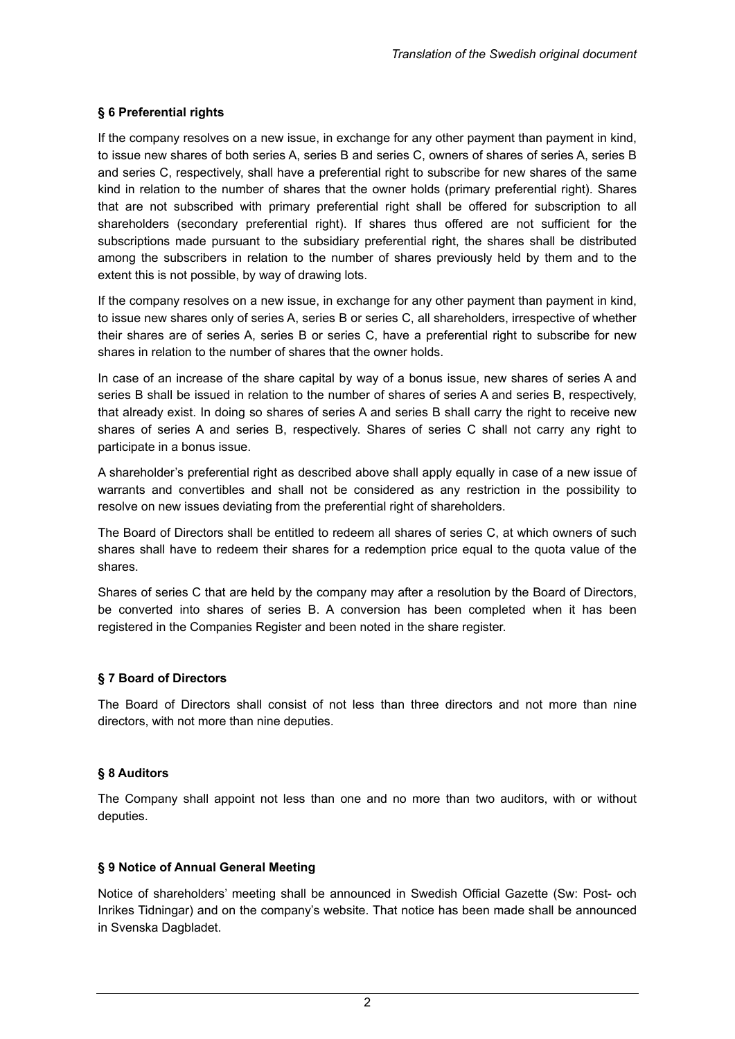# **§ 6 Preferential rights**

If the company resolves on a new issue, in exchange for any other payment than payment in kind, to issue new shares of both series A, series B and series C, owners of shares of series A, series B and series C, respectively, shall have a preferential right to subscribe for new shares of the same kind in relation to the number of shares that the owner holds (primary preferential right). Shares that are not subscribed with primary preferential right shall be offered for subscription to all shareholders (secondary preferential right). If shares thus offered are not sufficient for the subscriptions made pursuant to the subsidiary preferential right, the shares shall be distributed among the subscribers in relation to the number of shares previously held by them and to the extent this is not possible, by way of drawing lots.

If the company resolves on a new issue, in exchange for any other payment than payment in kind, to issue new shares only of series A, series B or series C, all shareholders, irrespective of whether their shares are of series A, series B or series C, have a preferential right to subscribe for new shares in relation to the number of shares that the owner holds.

In case of an increase of the share capital by way of a bonus issue, new shares of series A and series B shall be issued in relation to the number of shares of series A and series B, respectively, that already exist. In doing so shares of series A and series B shall carry the right to receive new shares of series A and series B, respectively. Shares of series C shall not carry any right to participate in a bonus issue.

A shareholder's preferential right as described above shall apply equally in case of a new issue of warrants and convertibles and shall not be considered as any restriction in the possibility to resolve on new issues deviating from the preferential right of shareholders.

The Board of Directors shall be entitled to redeem all shares of series C, at which owners of such shares shall have to redeem their shares for a redemption price equal to the quota value of the shares.

Shares of series C that are held by the company may after a resolution by the Board of Directors, be converted into shares of series B. A conversion has been completed when it has been registered in the Companies Register and been noted in the share register.

### **§ 7 Board of Directors**

The Board of Directors shall consist of not less than three directors and not more than nine directors, with not more than nine deputies.

### **§ 8 Auditors**

The Company shall appoint not less than one and no more than two auditors, with or without deputies.

### **§ 9 Notice of Annual General Meeting**

Notice of shareholders' meeting shall be announced in Swedish Official Gazette (Sw: Post- och Inrikes Tidningar) and on the company's website. That notice has been made shall be announced in Svenska Dagbladet.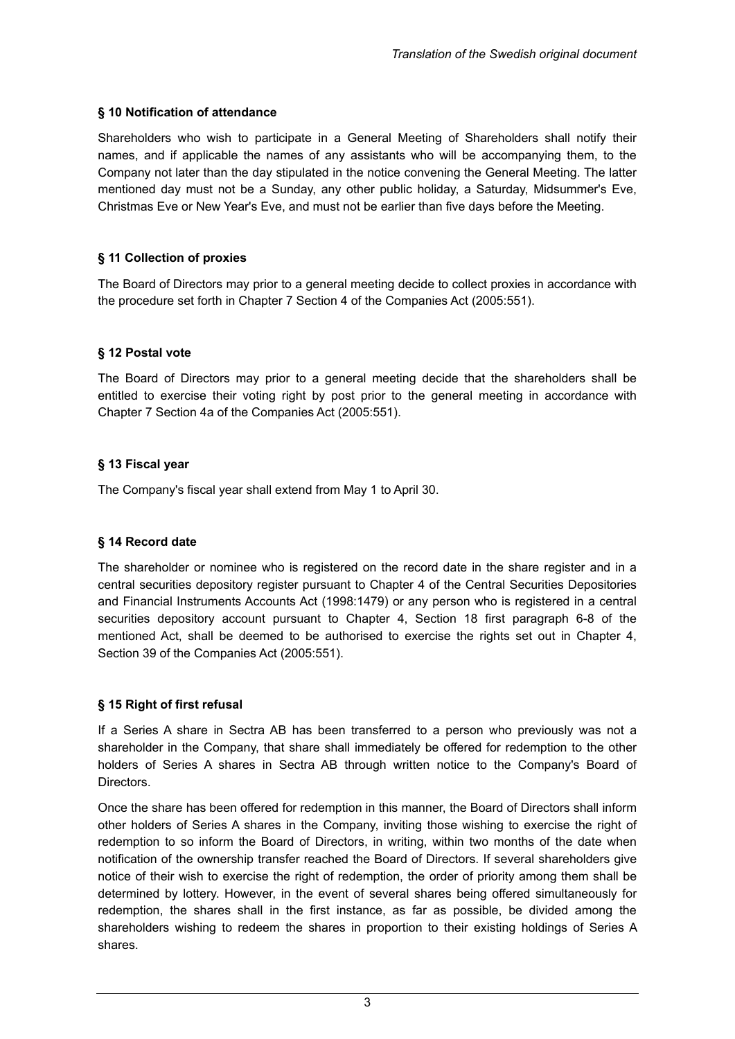# **§ 10 Notification of attendance**

Shareholders who wish to participate in a General Meeting of Shareholders shall notify their names, and if applicable the names of any assistants who will be accompanying them, to the Company not later than the day stipulated in the notice convening the General Meeting. The latter mentioned day must not be a Sunday, any other public holiday, a Saturday, Midsummer's Eve, Christmas Eve or New Year's Eve, and must not be earlier than five days before the Meeting.

# **§ 11 Collection of proxies**

The Board of Directors may prior to a general meeting decide to collect proxies in accordance with the procedure set forth in Chapter 7 Section 4 of the Companies Act (2005:551).

### **§ 12 Postal vote**

The Board of Directors may prior to a general meeting decide that the shareholders shall be entitled to exercise their voting right by post prior to the general meeting in accordance with Chapter 7 Section 4a of the Companies Act (2005:551).

# **§ 13 Fiscal year**

The Company's fiscal year shall extend from May 1 to April 30.

### **§ 14 Record date**

The shareholder or nominee who is registered on the record date in the share register and in a central securities depository register pursuant to Chapter 4 of the Central Securities Depositories and Financial Instruments Accounts Act (1998:1479) or any person who is registered in a central securities depository account pursuant to Chapter 4, Section 18 first paragraph 6-8 of the mentioned Act, shall be deemed to be authorised to exercise the rights set out in Chapter 4, Section 39 of the Companies Act (2005:551).

### **§ 15 Right of first refusal**

If a Series A share in Sectra AB has been transferred to a person who previously was not a shareholder in the Company, that share shall immediately be offered for redemption to the other holders of Series A shares in Sectra AB through written notice to the Company's Board of Directors.

Once the share has been offered for redemption in this manner, the Board of Directors shall inform other holders of Series A shares in the Company, inviting those wishing to exercise the right of redemption to so inform the Board of Directors, in writing, within two months of the date when notification of the ownership transfer reached the Board of Directors. If several shareholders give notice of their wish to exercise the right of redemption, the order of priority among them shall be determined by lottery. However, in the event of several shares being offered simultaneously for redemption, the shares shall in the first instance, as far as possible, be divided among the shareholders wishing to redeem the shares in proportion to their existing holdings of Series A shares.